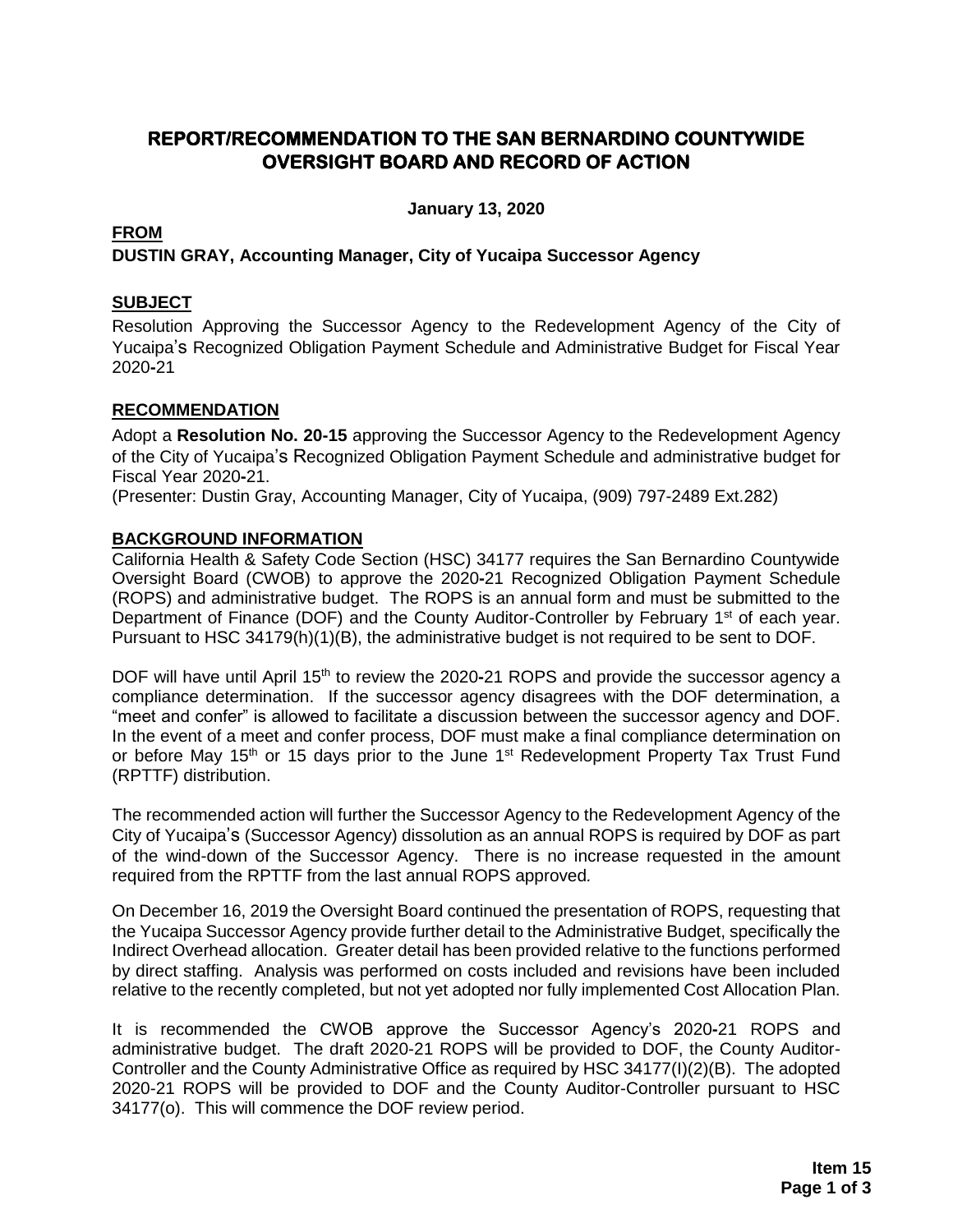# **REPORT/RECOMMENDATION TO THE SAN BERNARDINO COUNTYWIDE OVERSIGHT BOARD AND RECORD OF ACTION**

**January 13, 2020**

# **FROM**

# **DUSTIN GRAY, Accounting Manager, City of Yucaipa Successor Agency**

### **SUBJECT**

Resolution Approving the Successor Agency to the Redevelopment Agency of the City of Yucaipa's Recognized Obligation Payment Schedule and Administrative Budget for Fiscal Year 2020**-**21

# **RECOMMENDATION**

Adopt a **Resolution No. 20-15** approving the Successor Agency to the Redevelopment Agency of the City of Yucaipa's Recognized Obligation Payment Schedule and administrative budget for Fiscal Year 2020**-**21.

(Presenter: Dustin Gray, Accounting Manager, City of Yucaipa, (909) 797-2489 Ext.282)

### **BACKGROUND INFORMATION**

California Health & Safety Code Section (HSC) 34177 requires the San Bernardino Countywide Oversight Board (CWOB) to approve the 2020**-**21 Recognized Obligation Payment Schedule (ROPS) and administrative budget. The ROPS is an annual form and must be submitted to the Department of Finance (DOF) and the County Auditor-Controller by February 1<sup>st</sup> of each year. Pursuant to HSC 34179(h)(1)(B), the administrative budget is not required to be sent to DOF.

DOF will have until April 15<sup>th</sup> to review the 2020-21 ROPS and provide the successor agency a compliance determination. If the successor agency disagrees with the DOF determination, a "meet and confer" is allowed to facilitate a discussion between the successor agency and DOF. In the event of a meet and confer process, DOF must make a final compliance determination on or before May 15<sup>th</sup> or 15 days prior to the June 1<sup>st</sup> Redevelopment Property Tax Trust Fund (RPTTF) distribution.

The recommended action will further the Successor Agency to the Redevelopment Agency of the City of Yucaipa's (Successor Agency) dissolution as an annual ROPS is required by DOF as part of the wind-down of the Successor Agency. There is no increase requested in the amount required from the RPTTF from the last annual ROPS approved*.*

On December 16, 2019 the Oversight Board continued the presentation of ROPS, requesting that the Yucaipa Successor Agency provide further detail to the Administrative Budget, specifically the Indirect Overhead allocation. Greater detail has been provided relative to the functions performed by direct staffing. Analysis was performed on costs included and revisions have been included relative to the recently completed, but not yet adopted nor fully implemented Cost Allocation Plan.

It is recommended the CWOB approve the Successor Agency's 2020**-**21 ROPS and administrative budget. The draft 2020-21 ROPS will be provided to DOF, the County Auditor-Controller and the County Administrative Office as required by HSC 34177(I)(2)(B). The adopted 2020-21 ROPS will be provided to DOF and the County Auditor-Controller pursuant to HSC 34177(o). This will commence the DOF review period.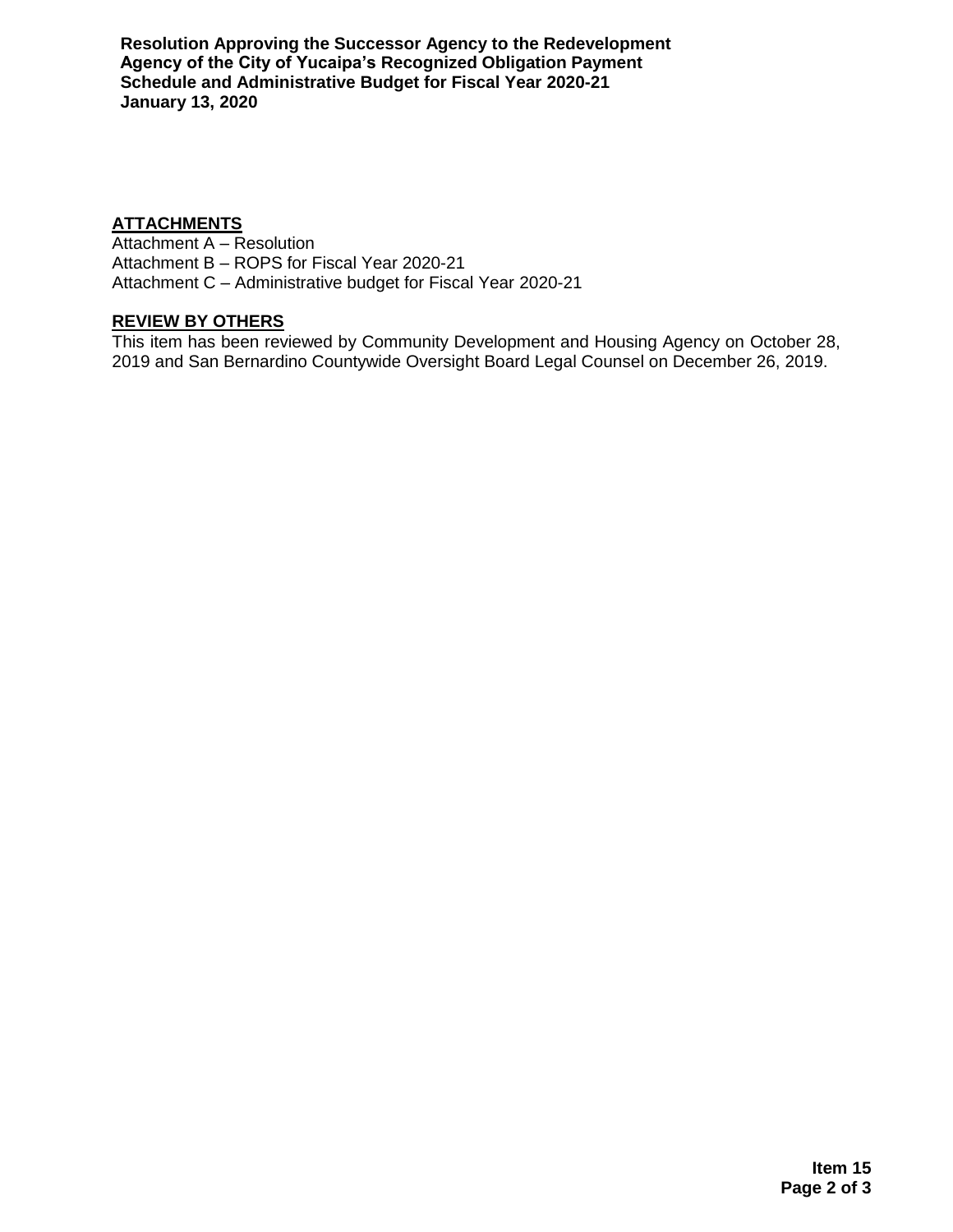**Resolution Approving the Successor Agency to the Redevelopment Agency of the City of Yucaipa's Recognized Obligation Payment Schedule and Administrative Budget for Fiscal Year 2020-21 January 13, 2020**

### **ATTACHMENTS**

Attachment A – Resolution Attachment B – ROPS for Fiscal Year 2020-21 Attachment C – Administrative budget for Fiscal Year 2020-21

### **REVIEW BY OTHERS**

This item has been reviewed by Community Development and Housing Agency on October 28, 2019 and San Bernardino Countywide Oversight Board Legal Counsel on December 26, 2019.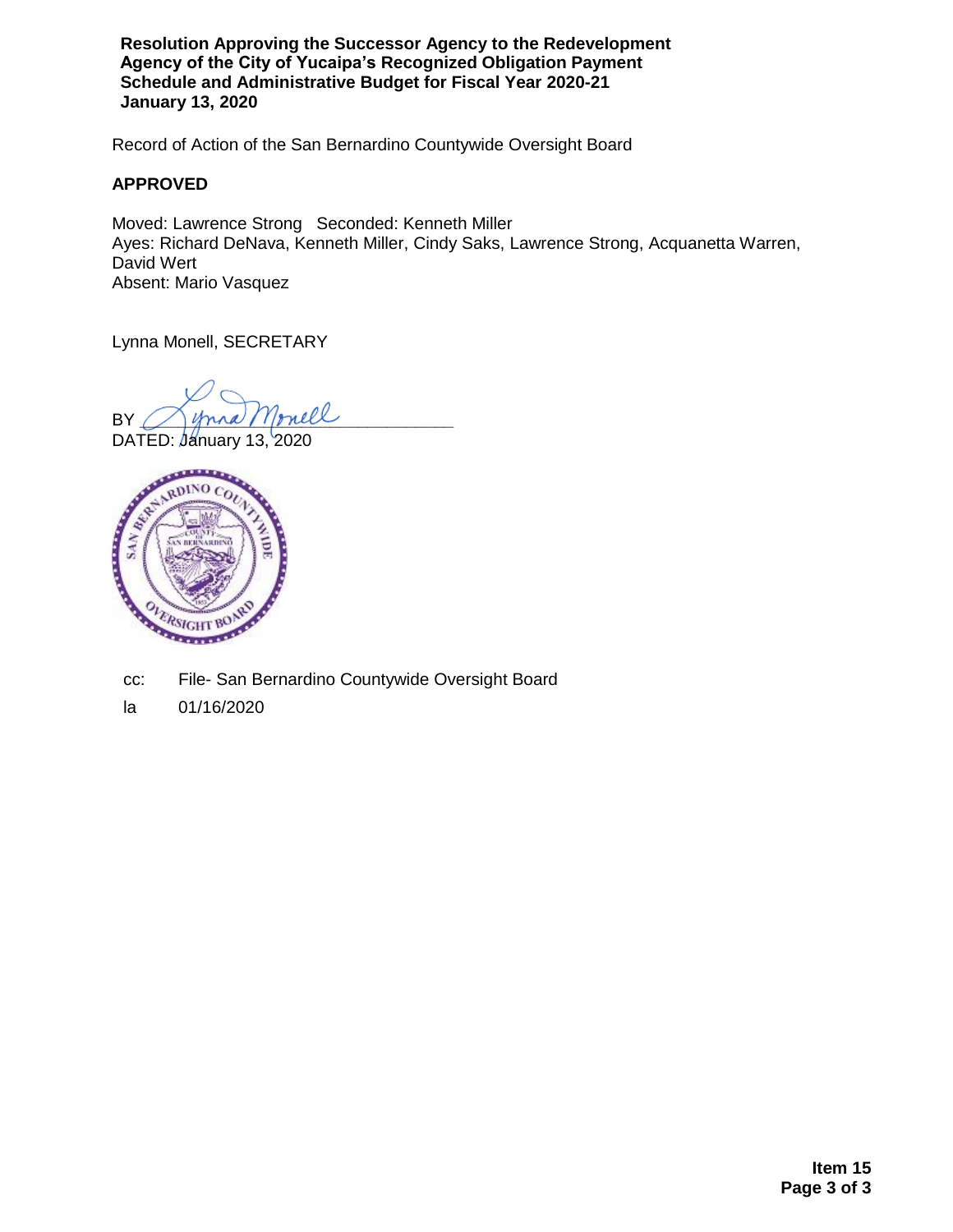**Resolution Approving the Successor Agency to the Redevelopment Agency of the City of Yucaipa's Recognized Obligation Payment Schedule and Administrative Budget for Fiscal Year 2020-21 January 13, 2020**

Record of Action of the San Bernardino Countywide Oversight Board

### **APPROVED**

Moved: Lawrence Strong Seconded: Kenneth Miller Ayes: Richard DeNava, Kenneth Miller, Cindy Saks, Lawrence Strong, Acquanetta Warren, David Wert Absent: Mario Vasquez

Lynna Monell, SECRETARY

BY Monell

DATED: January 13, 2020



cc: File- San Bernardino Countywide Oversight Board

la 01/16/2020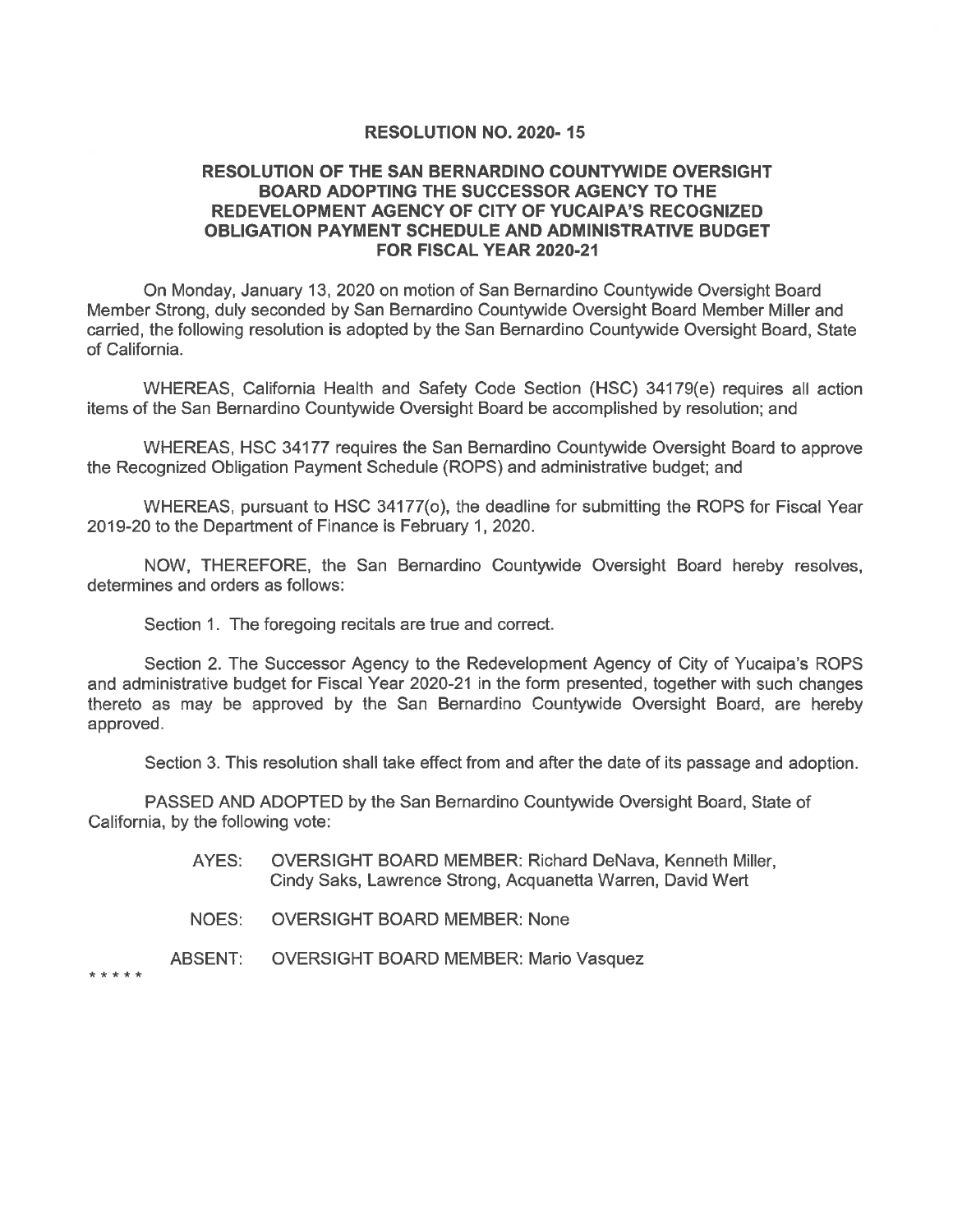#### **RESOLUTION NO. 2020-15**

### **RESOLUTION OF THE SAN BERNARDINO COUNTYWIDE OVERSIGHT BOARD ADOPTING THE SUCCESSOR AGENCY TO THE REDEVELOPMENT AGENCY OF CITY OF YUCAIPA'S RECOGNIZED** OBLIGATION PAYMENT SCHEDULE AND ADMINISTRATIVE BUDGET FOR FISCAL YEAR 2020-21

On Monday, January 13, 2020 on motion of San Bernardino Countywide Oversight Board Member Strong, duly seconded by San Bernardino Countywide Oversight Board Member Miller and carried, the following resolution is adopted by the San Bernardino Countywide Oversight Board, State of California.

WHEREAS, California Health and Safety Code Section (HSC) 34179(e) requires all action items of the San Bernardino Countywide Oversight Board be accomplished by resolution; and

WHEREAS, HSC 34177 requires the San Bernardino Countywide Oversight Board to approve the Recognized Obligation Payment Schedule (ROPS) and administrative budget; and

WHEREAS, pursuant to HSC 34177(o), the deadline for submitting the ROPS for Fiscal Year 2019-20 to the Department of Finance is February 1, 2020.

NOW, THEREFORE, the San Bernardino Countywide Oversight Board hereby resolves, determines and orders as follows:

Section 1. The foregoing recitals are true and correct.

Section 2. The Successor Agency to the Redevelopment Agency of City of Yucaipa's ROPS and administrative budget for Fiscal Year 2020-21 in the form presented, together with such changes thereto as may be approved by the San Bernardino Countywide Oversight Board, are hereby approved.

Section 3. This resolution shall take effect from and after the date of its passage and adoption.

PASSED AND ADOPTED by the San Bernardino Countywide Oversight Board, State of California, by the following vote:

- OVERSIGHT BOARD MEMBER: Richard DeNava, Kenneth Miller, AYES: Cindy Saks, Lawrence Strong, Acquanetta Warren, David Wert
- **OVERSIGHT BOARD MEMBER: None** NOES:
- **ABSENT: OVERSIGHT BOARD MEMBER: Mario Vasquez**

\* \* \* \* \*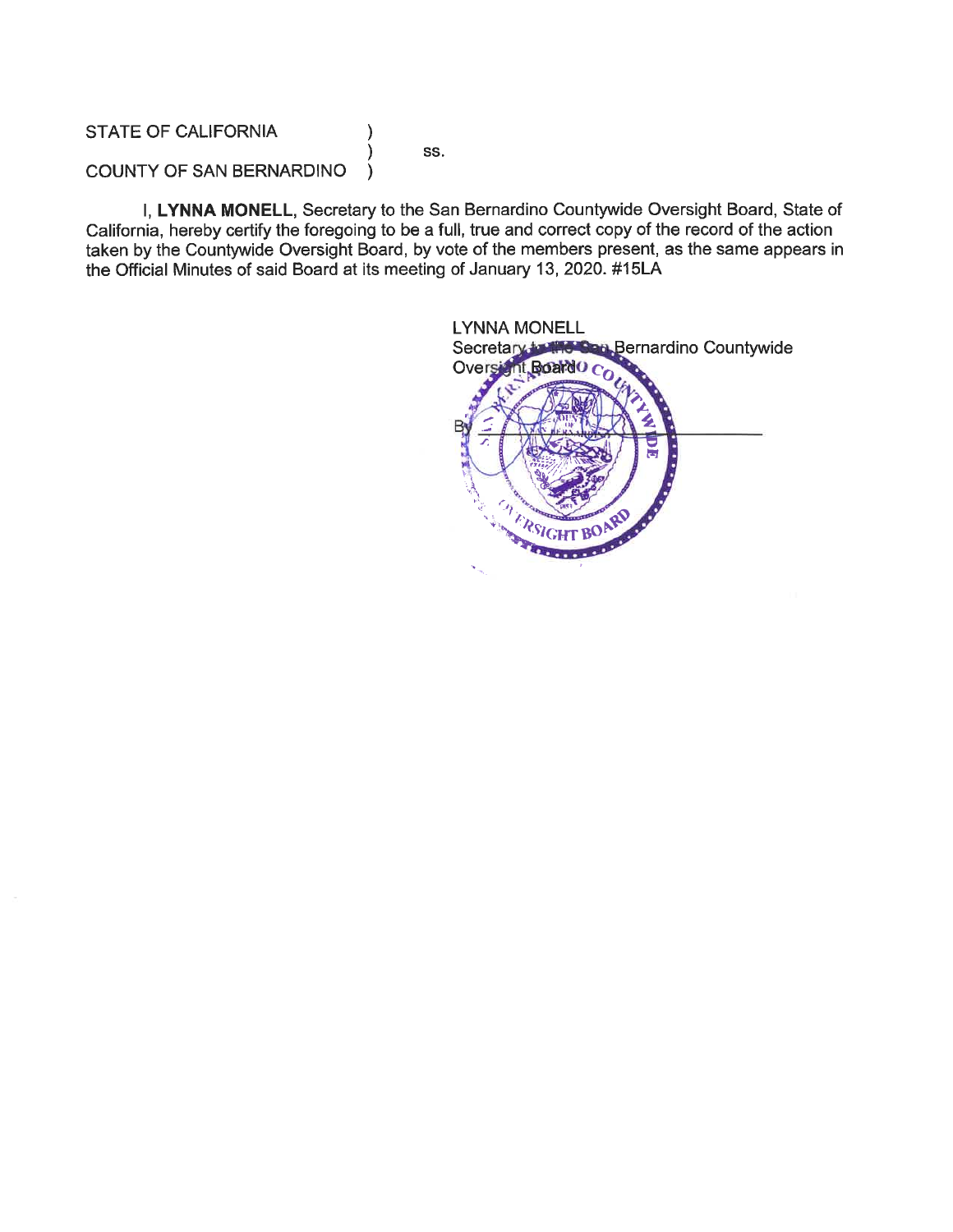**STATE OF CALIFORNIA** 

SS.

**COUNTY OF SAN BERNARDINO** 

I, LYNNA MONELL, Secretary to the San Bernardino Countywide Oversight Board, State of California, hereby certify the foregoing to be a full, true and correct copy of the record of the action taken by the Countywide Oversight Board, by vote of the members present, as the same appears in the Official Minutes of said Board at its meeting of January 13, 2020. #15LA

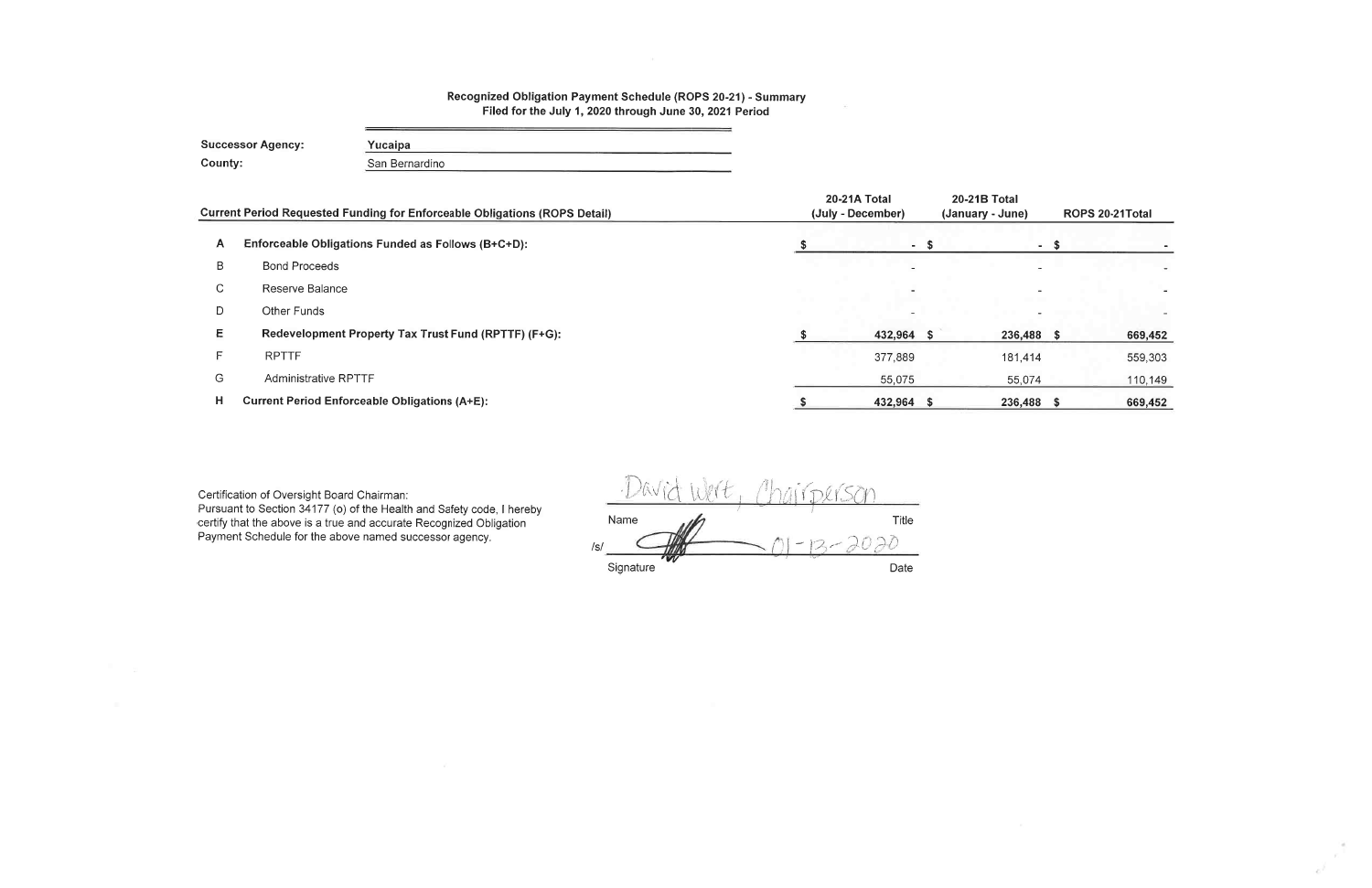# Recognized Obligation Payment Schedule (ROPS 20-21) - Summary Filed for the July 1, 2020 through June 30, 2021 Period

| <b>Successor Agency:</b><br>County: | Yucaipa        |  |
|-------------------------------------|----------------|--|
|                                     | San Bernardino |  |
|                                     |                |  |

|    | <b>Current Period Requested Funding for Enforceable Obligations (ROPS Detail)</b> | 20-21A Total<br>(July - December) | <b>20-21B Total</b><br>(January - June) | ROPS 20-21Total |                          |  |
|----|-----------------------------------------------------------------------------------|-----------------------------------|-----------------------------------------|-----------------|--------------------------|--|
| A  | Enforceable Obligations Funded as Follows (B+C+D):                                | - \$                              | $ \,$                                   |                 |                          |  |
| B  | <b>Bond Proceeds</b>                                                              |                                   |                                         |                 |                          |  |
| C. | Reserve Balance                                                                   |                                   |                                         |                 | $\overline{\phantom{a}}$ |  |
| D  | <b>Other Funds</b>                                                                |                                   |                                         |                 |                          |  |
| Ε. | Redevelopment Property Tax Trust Fund (RPTTF) (F+G):                              | 432,964 \$                        | 236,488                                 | - 5             | 669,452                  |  |
| F. | <b>RPTTF</b>                                                                      | 377,889                           | 181,414                                 |                 | 559,303                  |  |
| G  | <b>Administrative RPTTF</b>                                                       | 55,075                            | 55,074                                  |                 | 110,149                  |  |
| H  | <b>Current Period Enforceable Obligations (A+E):</b>                              | 432,964                           | 236,488 \$                              |                 | 669,452                  |  |

 $\overline{\phantom{a}}$ 

Certification of Oversight Board Chairman:<br>Pursuant to Section 34177 (o) of the Health and Safety code, I hereby<br>certify that the above is a true and accurate Recognized Obligation<br>Payment Schedule for the above named succ

Derson Title Name  $2020$ Signature Date

 $\sim$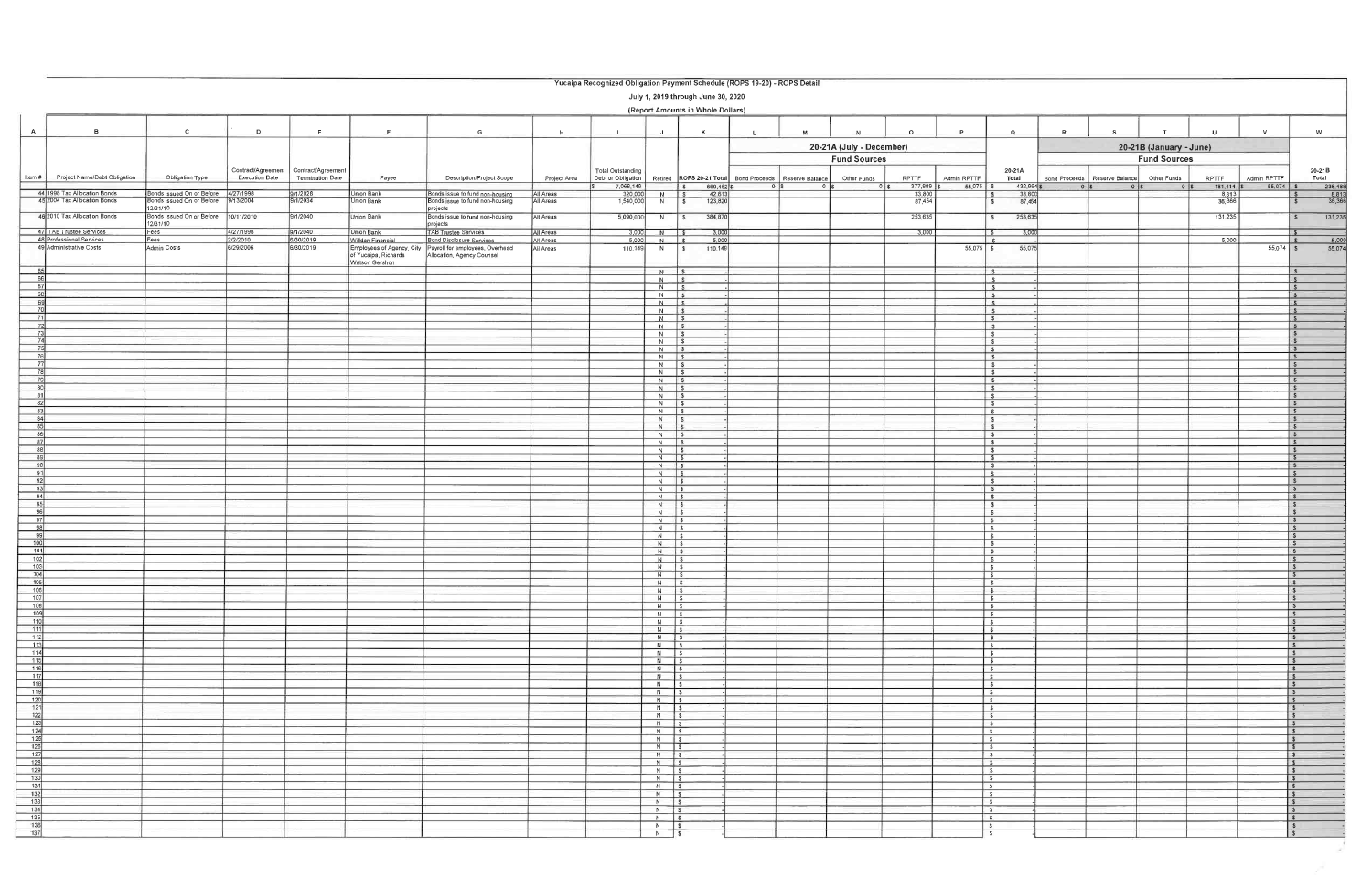|                                                                                                                                  |                                                              |                                                                  |                       |                                         |                                 |                                                                                         |                        | Yucaipa Recognized Obligation Payment Schedule (ROPS 19-20) - ROPS Detail |                                                                                                                                  |                                                    |                                                                             |                            |                     |                       |                                                                                                                                                                                                             |                  |                                                       |                         |                        |                               |                                  |
|----------------------------------------------------------------------------------------------------------------------------------|--------------------------------------------------------------|------------------------------------------------------------------|-----------------------|-----------------------------------------|---------------------------------|-----------------------------------------------------------------------------------------|------------------------|---------------------------------------------------------------------------|----------------------------------------------------------------------------------------------------------------------------------|----------------------------------------------------|-----------------------------------------------------------------------------|----------------------------|---------------------|-----------------------|-------------------------------------------------------------------------------------------------------------------------------------------------------------------------------------------------------------|------------------|-------------------------------------------------------|-------------------------|------------------------|-------------------------------|----------------------------------|
|                                                                                                                                  |                                                              |                                                                  |                       |                                         |                                 |                                                                                         |                        |                                                                           |                                                                                                                                  | July 1, 2019 through June 30, 2020                 |                                                                             |                            |                     |                       |                                                                                                                                                                                                             |                  |                                                       |                         |                        |                               |                                  |
|                                                                                                                                  |                                                              |                                                                  |                       |                                         |                                 |                                                                                         |                        |                                                                           |                                                                                                                                  | (Report Amounts in Whole Dollars)                  |                                                                             |                            |                     |                       |                                                                                                                                                                                                             |                  |                                                       |                         |                        |                               |                                  |
| A                                                                                                                                | $\mathbf{B}$                                                 | $\mathbf{C}$                                                     | $\mathbf{D}$          | E                                       | F.                              | G                                                                                       | H                      | $\blacksquare$                                                            | $\mathsf{J}$                                                                                                                     | $\mathsf{K}$                                       | M                                                                           | N                          | $\circ$             | $\mathsf{P}$          | $\mathbf Q$                                                                                                                                                                                                 | R                |                                                       |                         | $\overline{u}$         | $\mathsf{v}$                  | w                                |
|                                                                                                                                  |                                                              |                                                                  |                       |                                         |                                 |                                                                                         |                        |                                                                           |                                                                                                                                  |                                                    |                                                                             | 20-21A (July - December)   |                     |                       |                                                                                                                                                                                                             |                  |                                                       | 20-21B (January - June) |                        |                               |                                  |
|                                                                                                                                  |                                                              |                                                                  |                       |                                         |                                 |                                                                                         |                        |                                                                           |                                                                                                                                  |                                                    |                                                                             | <b>Fund Sources</b>        |                     |                       |                                                                                                                                                                                                             |                  |                                                       | <b>Fund Sources</b>     |                        |                               |                                  |
|                                                                                                                                  |                                                              |                                                                  |                       | Contract/Agreement   Contract/Agreement |                                 |                                                                                         |                        | <b>Total Outstanding</b>                                                  |                                                                                                                                  |                                                    |                                                                             |                            |                     |                       | 20-21A                                                                                                                                                                                                      |                  |                                                       |                         |                        |                               | 20-21B                           |
|                                                                                                                                  | Item # Project Name/Debt Obligation                          | Obligation Type                                                  | Execution Date        | <b>Termination Date</b>                 | Payee                           | Description/Project Scope                                                               | Project Area           | Debt or Obligation<br>7,068,149                                           |                                                                                                                                  | 669,452 \$<br>$\overline{\mathbf{s}}$              | Retired ROPS 20-21 Total Bond Proceeds   Reserve Balance<br>0 <sup>15</sup> | Other Funds<br>$0 \mid$ \$ | RPTTF<br>377,889 \$ | Admin RPTTF<br>55,075 | Total<br>432,964 \$                                                                                                                                                                                         | $0$   $\sqrt{5}$ | Bond Proceeds   Reserve Balance   Other Funds<br>0.1s | $0$   \$                | RPTTF<br>181,414 \$    | Admin RPTTF<br>$55,074$ \$    | Total<br>236.488                 |
|                                                                                                                                  | 44 1998 Tax Allocation Bonds<br>45 2004 Tax Allocation Bonds | Bonds Issued On or Before 4/27/1998<br>Bonds Issued On or Before | 9/13/2004             | 9/1/2028<br>9/1/2034                    | Union Bank<br>Union Bank        | Bonds issue to fund non-housing<br>Bonds issue to fund non-housing                      | All Areas<br>All Areas | 320,000<br>1,540,000                                                      | $N =$<br>N                                                                                                                       | $\frac{42.613}{123,820}$<br>$\mathbf{s}$<br>$\sim$ |                                                                             |                            | 33,800<br>87,454    |                       | 33,800<br>87,454                                                                                                                                                                                            |                  |                                                       |                         | $\frac{8.813}{36,366}$ |                               | 8.813                            |
|                                                                                                                                  | 46 2010 Tax Allocation Bonds                                 | 12/31/10<br>Bonds Issued On or Before 10/11/2010                 |                       | 9/1/2040                                | Union Bank                      | projects<br>Bonds issue to fund non-housing                                             | All Areas              | 5,090,000                                                                 | $N$ $\sqrt{S}$                                                                                                                   | 384,870                                            |                                                                             |                            | 253,635             |                       | 253,635<br>$\mathbb{S}$                                                                                                                                                                                     |                  |                                                       |                         | 131,235                |                               | 131,235                          |
|                                                                                                                                  |                                                              | 12/31/10                                                         |                       |                                         |                                 | projects                                                                                |                        |                                                                           |                                                                                                                                  |                                                    |                                                                             |                            |                     |                       |                                                                                                                                                                                                             |                  |                                                       |                         |                        |                               |                                  |
|                                                                                                                                  | 47 TAB Trustee Services<br>48 Professional Services          | Fees<br>Fees                                                     | 4/27/1998<br>2/2/2010 | 9/1/2040<br>6/30/2019                   | Union Bank<br>Willdan Financial | <b>TAB Trustee Services</b><br><b>Bond Disclosure Services</b>                          | All Areas<br>All Areas | 3,000<br>5,000                                                            |                                                                                                                                  | 3,000<br>5,000                                     |                                                                             |                            | 3,000               |                       | 3,000<br>l s<br>$\sim$                                                                                                                                                                                      |                  |                                                       |                         | 5,000                  |                               | $\frac{5,000}{55,074}$<br>$\sim$ |
|                                                                                                                                  | 49 Administrative Costs                                      | Admin Costs                                                      | 6/29/2006             | 6/30/2019                               | of Yucaipa, Richards            | Employees of Agency, City Payroll for employees, Overhead<br>Allocation, Agency Counsel | All Areas              | 110,149                                                                   | $N \quad S$                                                                                                                      | 110,149                                            |                                                                             |                            |                     | $55,075$ \$           | 55,075                                                                                                                                                                                                      |                  |                                                       |                         |                        | $55,074$ \$                   |                                  |
|                                                                                                                                  |                                                              |                                                                  |                       |                                         | Watson Gershon                  |                                                                                         |                        |                                                                           | $N$   \$                                                                                                                         |                                                    |                                                                             |                            |                     |                       | IS.                                                                                                                                                                                                         |                  |                                                       |                         |                        |                               |                                  |
| 66<br>67                                                                                                                         |                                                              |                                                                  |                       |                                         |                                 |                                                                                         |                        |                                                                           | $N$   \$<br>$N$ $\sqrt{S}$                                                                                                       |                                                    |                                                                             |                            |                     |                       | $\frac{1}{3}$<br>$\sqrt{2}$                                                                                                                                                                                 |                  |                                                       |                         |                        |                               | 1.5<br>$\vert$ s                 |
| 68                                                                                                                               |                                                              |                                                                  |                       |                                         |                                 |                                                                                         |                        |                                                                           | $N$ $\sqrt{S}$                                                                                                                   |                                                    |                                                                             |                            |                     |                       | $\frac{1}{3}$                                                                                                                                                                                               |                  |                                                       |                         |                        |                               | $\sqrt{5}$                       |
|                                                                                                                                  |                                                              |                                                                  |                       |                                         |                                 |                                                                                         |                        |                                                                           | $N$   \$                                                                                                                         |                                                    |                                                                             |                            |                     |                       | $\frac{1}{3}$<br>$\vert$ s                                                                                                                                                                                  |                  |                                                       |                         |                        | <b>IS</b>                     | $\vert$ s                        |
|                                                                                                                                  |                                                              |                                                                  |                       |                                         |                                 |                                                                                         |                        |                                                                           | $N$ $S$<br>N                                                                                                                     |                                                    |                                                                             |                            |                     |                       | S<br>$\sqrt{2}$                                                                                                                                                                                             |                  |                                                       |                         |                        |                               | $\mathbf{s}$<br>l \$             |
|                                                                                                                                  |                                                              |                                                                  |                       |                                         |                                 |                                                                                         |                        |                                                                           | $N$ \$<br>$N$ $s$                                                                                                                |                                                    |                                                                             |                            |                     |                       | l s<br>$\sim$                                                                                                                                                                                               |                  |                                                       |                         |                        |                               | $\frac{1}{3}$<br>$\frac{1}{2}$   |
|                                                                                                                                  |                                                              |                                                                  |                       |                                         |                                 |                                                                                         |                        |                                                                           | $N$ $s$                                                                                                                          |                                                    |                                                                             |                            |                     |                       | $\mathbf{s}$<br>$\mathbf{s}$                                                                                                                                                                                |                  |                                                       |                         |                        |                               | Is.<br>$\mathsf{s}$              |
|                                                                                                                                  |                                                              |                                                                  |                       |                                         |                                 |                                                                                         |                        |                                                                           | $N$ $S$                                                                                                                          |                                                    |                                                                             |                            |                     |                       | $\sim$                                                                                                                                                                                                      |                  |                                                       |                         |                        |                               | $\mathbf{s}$<br>$\sim$           |
|                                                                                                                                  |                                                              |                                                                  |                       |                                         |                                 |                                                                                         |                        |                                                                           | $N$ 5<br>$N$   \$                                                                                                                |                                                    |                                                                             |                            |                     |                       | $\sqrt{2}$<br>$\sqrt{5}$                                                                                                                                                                                    |                  |                                                       |                         |                        |                               | Is.                              |
| 80<br>81                                                                                                                         |                                                              |                                                                  |                       |                                         |                                 |                                                                                         |                        |                                                                           | $N$   \$<br>$N$ $S$                                                                                                              |                                                    |                                                                             |                            |                     |                       | S<br>$\sim$                                                                                                                                                                                                 |                  |                                                       |                         |                        |                               | $\sqrt{s}$<br>$\sqrt{s}$         |
| 82<br>83                                                                                                                         |                                                              |                                                                  |                       |                                         |                                 |                                                                                         |                        |                                                                           | $N$ $\sqrt{S}$<br>$N$ $\sqrt{3}$                                                                                                 |                                                    |                                                                             |                            |                     |                       | S<br>$\overline{\mathbf{s}}$                                                                                                                                                                                |                  |                                                       |                         |                        |                               | $\sqrt{5}$<br>l s                |
| 84<br>85                                                                                                                         |                                                              |                                                                  |                       |                                         |                                 |                                                                                         |                        |                                                                           | $N$   \$<br>$N$   \$                                                                                                             |                                                    |                                                                             |                            |                     |                       | S<br>$\sqrt{5}$                                                                                                                                                                                             |                  |                                                       |                         |                        | $\frac{1}{2}$                 | $\overline{\phantom{a}}$         |
| 86                                                                                                                               |                                                              |                                                                  |                       |                                         |                                 |                                                                                         |                        |                                                                           | $N$ $S$                                                                                                                          |                                                    |                                                                             |                            |                     |                       | $\sqrt{2}$                                                                                                                                                                                                  |                  |                                                       |                         |                        |                               | $\sqrt{s}$                       |
| 87<br>88                                                                                                                         |                                                              |                                                                  |                       |                                         |                                 |                                                                                         |                        |                                                                           | $N$ $\sqrt{3}$                                                                                                                   |                                                    |                                                                             |                            |                     |                       | $\frac{1}{2}$<br>$\sim$                                                                                                                                                                                     |                  |                                                       |                         |                        |                               | $\sqrt{s}$<br>$\sqrt{5}$         |
| 89<br>90                                                                                                                         |                                                              |                                                                  |                       |                                         |                                 |                                                                                         |                        |                                                                           | $N$   $S$<br>$N$ $S$                                                                                                             |                                                    |                                                                             |                            |                     |                       | S<br>$\mathsf{s}$                                                                                                                                                                                           |                  |                                                       |                         |                        |                               | $\sim$<br>$\sim$                 |
| 91<br>92                                                                                                                         |                                                              |                                                                  |                       |                                         |                                 |                                                                                         |                        |                                                                           | $N$ $S$<br>$N$ 5                                                                                                                 |                                                    |                                                                             |                            |                     |                       | $  \mathsf{s}$<br>S                                                                                                                                                                                         |                  |                                                       |                         |                        |                               | $\mathbf{s}$<br>$\mathsf{S}$     |
| 93<br>94                                                                                                                         |                                                              |                                                                  |                       |                                         |                                 |                                                                                         |                        |                                                                           | $N$ $\sqrt{3}$<br>$N$   \$                                                                                                       |                                                    |                                                                             |                            |                     |                       | $\sim$<br>$\sqrt{2}$                                                                                                                                                                                        |                  |                                                       |                         |                        |                               | $\mathbf{s}$<br>$\mathsf{S}$     |
| 95                                                                                                                               |                                                              |                                                                  |                       |                                         |                                 |                                                                                         |                        |                                                                           | $N$   5                                                                                                                          |                                                    |                                                                             |                            |                     |                       | $\mathbf{s}$                                                                                                                                                                                                |                  |                                                       |                         |                        |                               | $\mathbf{s}$                     |
| $\frac{96}{97}$                                                                                                                  |                                                              |                                                                  |                       |                                         |                                 |                                                                                         |                        |                                                                           | $N$ $S$<br>$N$ $\sqrt{s}$                                                                                                        |                                                    |                                                                             |                            |                     |                       | $\vert$ s<br>$\sim$                                                                                                                                                                                         |                  |                                                       |                         |                        |                               | $\mathbf{s}$<br>$\mathbf{s}$     |
| 98<br>99                                                                                                                         |                                                              |                                                                  |                       |                                         |                                 |                                                                                         |                        |                                                                           | N<br>N                                                                                                                           |                                                    |                                                                             |                            |                     |                       | $\vert$ s<br>$\sqrt{s}$                                                                                                                                                                                     |                  |                                                       |                         |                        |                               | $\sqrt{5}$<br>$\mathsf{S}$       |
| 100<br>101                                                                                                                       |                                                              |                                                                  |                       |                                         |                                 |                                                                                         |                        |                                                                           | $N \leq$<br>N                                                                                                                    |                                                    |                                                                             |                            |                     |                       | $1 \overline{3}$<br>$\sqrt{s}$                                                                                                                                                                              |                  |                                                       |                         |                        |                               | S<br>$\mathbf{s}$                |
| 102<br>$103$                                                                                                                     |                                                              |                                                                  |                       |                                         |                                 |                                                                                         |                        |                                                                           | N<br>N                                                                                                                           |                                                    |                                                                             |                            |                     |                       | $\frac{1}{2}$<br>15                                                                                                                                                                                         |                  |                                                       |                         |                        |                               | s<br>$\frac{1}{2}$               |
| 104                                                                                                                              |                                                              |                                                                  |                       |                                         |                                 |                                                                                         |                        |                                                                           | NS                                                                                                                               |                                                    |                                                                             |                            |                     |                       | l s                                                                                                                                                                                                         |                  |                                                       |                         |                        | <b>S</b>                      |                                  |
| 105<br>106                                                                                                                       |                                                              |                                                                  |                       |                                         |                                 |                                                                                         |                        |                                                                           | $N$ $s$<br>$N$ \$                                                                                                                |                                                    |                                                                             |                            |                     |                       | $\frac{s}{s}$                                                                                                                                                                                               |                  |                                                       |                         |                        |                               | $\vert$ s<br>$\sqrt{S}$          |
| 107<br>$\frac{108}{109}$                                                                                                         |                                                              |                                                                  |                       |                                         |                                 |                                                                                         |                        |                                                                           | $N$ $\sqrt{3}$<br>$\begin{array}{c c c c} N & \mathfrak{T} & \mathfrak{T} \\ \hline N & \mathfrak{T} & \mathfrak{T} \end{array}$ |                                                    |                                                                             |                            |                     |                       | $\frac{1}{2}$                                                                                                                                                                                               |                  |                                                       |                         |                        |                               | $\sqrt{s}$<br>$\sqrt{5}$         |
| 110                                                                                                                              |                                                              |                                                                  |                       |                                         |                                 |                                                                                         |                        |                                                                           | $N$ $s$                                                                                                                          |                                                    |                                                                             |                            |                     |                       | $\frac{s}{s}$<br>$\sqrt{5}$                                                                                                                                                                                 |                  |                                                       |                         |                        | $\sqrt{5}$                    | $\sqrt{s}$                       |
| 111<br>$\frac{1}{112}$                                                                                                           |                                                              |                                                                  |                       |                                         |                                 |                                                                                         |                        |                                                                           | $N$ $\sqrt{5}$<br>$N$ $s$                                                                                                        |                                                    |                                                                             |                            |                     |                       | $\begin{array}{c c}\n\hline\n\text{S} \\ \hline\n\text{S}\n\end{array}$                                                                                                                                     |                  |                                                       |                         |                        |                               | $\vert s \vert$<br>$\sqrt{s}$    |
| 113                                                                                                                              |                                                              |                                                                  |                       |                                         |                                 |                                                                                         |                        |                                                                           | $N$ $s$                                                                                                                          |                                                    |                                                                             |                            |                     |                       |                                                                                                                                                                                                             |                  |                                                       |                         |                        | $\sqrt{S}$                    |                                  |
| 114<br>$\frac{115}{118}$                                                                                                         |                                                              |                                                                  |                       |                                         |                                 |                                                                                         |                        |                                                                           | $N$ $S$<br>$N$ \$                                                                                                                |                                                    |                                                                             |                            |                     |                       | $\begin{array}{ c c } \hline & \text{ } & \text{ } & \text{ } \\ \hline & \text{ } & \text{ } & \text{ } & \text{ } \\ \hline & \text{ } & \text{ } & \text{ } & \text{ } & \text{ } \\ \hline \end{array}$ |                  |                                                       |                         |                        | $\sqrt{3}$                    | $\sqrt{2}$                       |
| $\frac{116}{116}$<br>117                                                                                                         |                                                              |                                                                  |                       |                                         |                                 |                                                                                         |                        |                                                                           | $N$ $\sqrt{s}$<br>$N$ \$                                                                                                         |                                                    |                                                                             |                            |                     |                       | $\sqrt{2}$                                                                                                                                                                                                  |                  |                                                       |                         |                        | $\vert$ s                     | $\sqrt{s}$                       |
| $\frac{118}{118}$                                                                                                                |                                                              |                                                                  |                       |                                         |                                 |                                                                                         |                        |                                                                           | $N$ $S$<br>$N$ 5                                                                                                                 |                                                    |                                                                             |                            |                     |                       | $\begin{array}{c} s \\ s \\ s \end{array}$                                                                                                                                                                  |                  |                                                       |                         |                        | $\vert$ s                     | $\sqrt{s}$                       |
| 120                                                                                                                              |                                                              |                                                                  |                       |                                         |                                 |                                                                                         |                        |                                                                           | $N$ $s$<br>$N$ 5                                                                                                                 |                                                    |                                                                             |                            |                     |                       |                                                                                                                                                                                                             |                  |                                                       |                         |                        | $\sqrt{5}$<br>$\sqrt{s}$      |                                  |
| $\frac{121}{122}$                                                                                                                |                                                              |                                                                  |                       |                                         |                                 |                                                                                         |                        |                                                                           | $N$ $\sqrt{s}$                                                                                                                   |                                                    |                                                                             |                            |                     |                       | $\begin{array}{ c c } \hline s \\ \hline s \\ \hline s \\ \hline \end{array}$                                                                                                                               |                  |                                                       |                         |                        | $\sqrt{s}$                    |                                  |
|                                                                                                                                  |                                                              |                                                                  |                       |                                         |                                 |                                                                                         |                        |                                                                           | $N$ \$<br>$N$ $S$                                                                                                                |                                                    |                                                                             |                            |                     |                       | $\begin{array}{ c c } \hline s & s \\ \hline s & \hline \end{array}$                                                                                                                                        |                  |                                                       |                         |                        | $\sqrt{S}$<br>$\sqrt{5}$      |                                  |
|                                                                                                                                  |                                                              |                                                                  |                       |                                         |                                 |                                                                                         |                        |                                                                           | $N$ \$<br>$N$ 5                                                                                                                  |                                                    |                                                                             |                            |                     |                       |                                                                                                                                                                                                             |                  |                                                       |                         |                        | $\mathbf{S}$<br>$\vert$ s     |                                  |
| $\begin{array}{r} 122 \\ 123 \\ 124 \\ 125 \\ 126 \\ 127 \\ 128 \\ 129 \\ 130 \\ 131 \\ 132 \end{array}$                         |                                                              |                                                                  |                       |                                         |                                 |                                                                                         |                        |                                                                           | $N$ \$<br>$N$ $s$                                                                                                                |                                                    |                                                                             |                            |                     |                       | $\frac{s}{s}$<br>$\sqrt{3}$                                                                                                                                                                                 |                  |                                                       |                         |                        | $\sqrt{S}$<br>$\vert s \vert$ |                                  |
|                                                                                                                                  |                                                              |                                                                  |                       |                                         |                                 |                                                                                         |                        |                                                                           | $N$ $S$                                                                                                                          |                                                    |                                                                             |                            |                     |                       | $\frac{1}{2}$                                                                                                                                                                                               |                  |                                                       |                         |                        |                               | $\sqrt{S}$                       |
|                                                                                                                                  |                                                              |                                                                  |                       |                                         |                                 |                                                                                         |                        |                                                                           | $N$ \$<br>$N$ \$                                                                                                                 |                                                    |                                                                             |                            |                     |                       | $\sqrt{s}$<br>$\vert s \vert$                                                                                                                                                                               |                  |                                                       |                         |                        | $\sqrt{5}$<br>$\sqrt{S}$      |                                  |
|                                                                                                                                  |                                                              |                                                                  |                       |                                         |                                 |                                                                                         |                        |                                                                           | $N$ \$                                                                                                                           |                                                    |                                                                             |                            |                     |                       | $\frac{s}{s}$                                                                                                                                                                                               |                  |                                                       |                         |                        | s                             | $\sqrt{s}$                       |
|                                                                                                                                  |                                                              |                                                                  |                       |                                         |                                 |                                                                                         |                        |                                                                           | $N$ $S$<br>$N$ $\sqrt{S}$                                                                                                        |                                                    |                                                                             |                            |                     |                       | $\sqrt{5}$<br>$\vert$ s                                                                                                                                                                                     |                  |                                                       |                         |                        | s                             | $\mathsf{S}$                     |
| $\begin{array}{r} 131 \\ \hline 132 \\ \hline 133 \\ \hline 134 \\ \hline 135 \\ \hline 136 \\ \hline 137 \\ \hline \end{array}$ |                                                              |                                                                  |                       |                                         |                                 |                                                                                         |                        |                                                                           | $N$ \$                                                                                                                           |                                                    |                                                                             |                            |                     |                       | $\sqrt{s}$                                                                                                                                                                                                  |                  |                                                       |                         |                        | s                             |                                  |
|                                                                                                                                  |                                                              |                                                                  |                       |                                         |                                 |                                                                                         |                        |                                                                           | $N$ $S$                                                                                                                          |                                                    |                                                                             |                            |                     |                       | $\frac{1}{2}$                                                                                                                                                                                               |                  |                                                       |                         |                        | $\sqrt{s}$                    |                                  |
|                                                                                                                                  |                                                              |                                                                  |                       |                                         |                                 |                                                                                         |                        |                                                                           |                                                                                                                                  |                                                    |                                                                             |                            |                     |                       |                                                                                                                                                                                                             |                  |                                                       |                         |                        |                               |                                  |